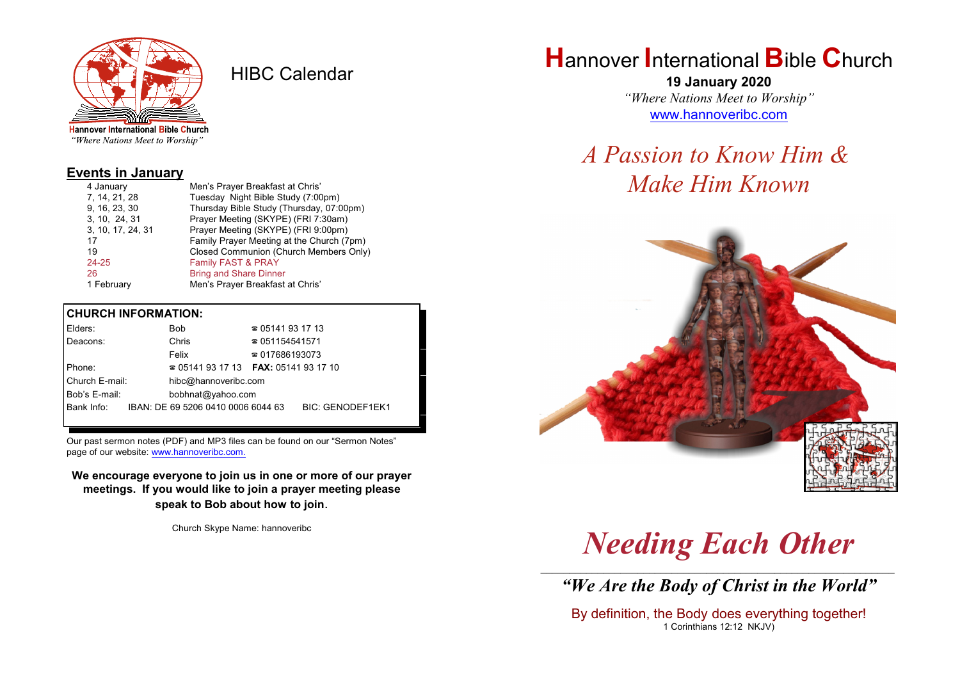

HIBC Calendar

"Where Nations Meet to Worship"

#### **Events in January**

| 4 January         | Men's Prayer Breakfast at Chris'          |
|-------------------|-------------------------------------------|
| 7, 14, 21, 28     | Tuesday Night Bible Study (7:00pm)        |
| 9, 16, 23, 30     | Thursday Bible Study (Thursday, 07:00pm)  |
| 3, 10, 24, 31     | Prayer Meeting (SKYPE) (FRI 7:30am)       |
| 3, 10, 17, 24, 31 | Prayer Meeting (SKYPE) (FRI 9:00pm)       |
| 17                | Family Prayer Meeting at the Church (7pm) |
| 19                | Closed Communion (Church Members Only)    |
| $24 - 25$         | Family FAST & PRAY                        |
| 26                | <b>Bring and Share Dinner</b>             |
| 1 February        | Men's Prayer Breakfast at Chris'          |

#### **CHURCH INFORMATION:**

| Elders:        |  | Bob                                | $\approx 05141931713$                    |                         |
|----------------|--|------------------------------------|------------------------------------------|-------------------------|
| Deacons:       |  | Chris                              | $\approx 051154541571$                   |                         |
|                |  | Felix                              | $\approx 017686193073$                   |                         |
| Phone:         |  |                                    | $\approx 05141931713$ FAX: 0514193 17 10 |                         |
| Church E-mail: |  | hibc@hannoveribc.com               |                                          |                         |
| Bob's E-mail:  |  | bobhnat@yahoo.com                  |                                          |                         |
| Bank Info:     |  | IBAN: DE 69 5206 0410 0006 6044 63 |                                          | <b>BIC: GENODEF1EK1</b> |
|                |  |                                    |                                          |                         |

Our past sermon notes (PDF) and MP3 files can be found on our "Sermon Notes" page of our website: [www.hannoveribc.com.](http://www.hannoveribc.com.)

**We encourage everyone to join us in one or more of our prayer meetings. If you would like to join a prayer meeting please speak to Bob about how to join**.

Church Skype Name: hannoveribc

## **H**annover **I**nternational **B**ible **C**hurch

**19 January 2020** *"Where Nations Meet to Worship"* [www.hannoveribc.com](http://www.hannoveribc.com)

# *A Passion to Know Him & Make Him Known*



# *Needing Each Other*

\_\_\_\_\_\_\_\_\_\_\_\_\_\_\_\_\_\_\_\_\_\_\_\_\_\_\_\_\_\_\_\_\_\_\_\_\_\_\_\_\_\_\_\_\_\_\_\_\_\_\_\_\_\_\_\_\_\_\_\_\_\_ *"We Are the Body of Christ in the World"*

By definition, the Body does everything together! 1 Corinthians 12:12 NKJV)